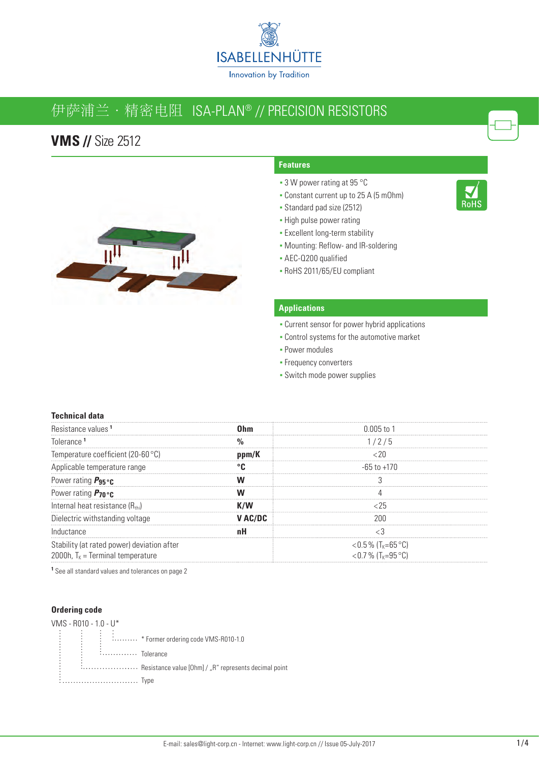

# 伊萨浦兰·精密电阻 ISA-PLAN® // PrecISIoN reSIStorS

### **VMS //** Size 2512



### **Features**

- 3 W power rating at 95 °C
- Constant current up to 25 A (5 mOhm)

RoHS

- Standard pad size (2512)
- High pulse power rating
- **Excellent long-term stability**
- Mounting: Reflow- and IR-soldering
- AEC-Q200 qualified
- RoHS 2011/65/EU compliant

#### **Applications**

- **Current sensor for power hybrid applications**
- Control systems for the automotive market
- **Power modules**
- **Frequency converters**
- Switch mode power supplies

#### **Technical data**

| Resistance values 1                        |         | 0 005 to 1                     |
|--------------------------------------------|---------|--------------------------------|
| <b>Inlerance</b>                           |         | 1/2/5                          |
| Temperature coefficient (20-60 °C)         | ppm/K   |                                |
| Applicable temperature range               |         | -65 to +170                    |
| Power rating $P_{95}$ °C                   |         |                                |
| Power rating $P_{70}$ °C                   |         |                                |
| Internal heat resistance $(R_{\text{th}})$ |         |                                |
| Dielectric withstanding voltage            | V AC/DC |                                |
| Inductance                                 |         |                                |
| Stability (at rated power) deviation after |         | <0.5 % (T <sub>K</sub> =65 °C) |
| 2000h, $T_k$ = Terminal temperature        |         | <0.7 % (T <sub>K</sub> =95 °C) |

**1** See all standard values and tolerances on page 2

#### **Ordering code**

| VMS - R010 - 1.0 - U*                                                |
|----------------------------------------------------------------------|
| : * Former ordering code VMS-R010-1.0                                |
| : Tolerance                                                          |
| Exercised and Testistance value [Ohm] / "R" represents decimal point |
|                                                                      |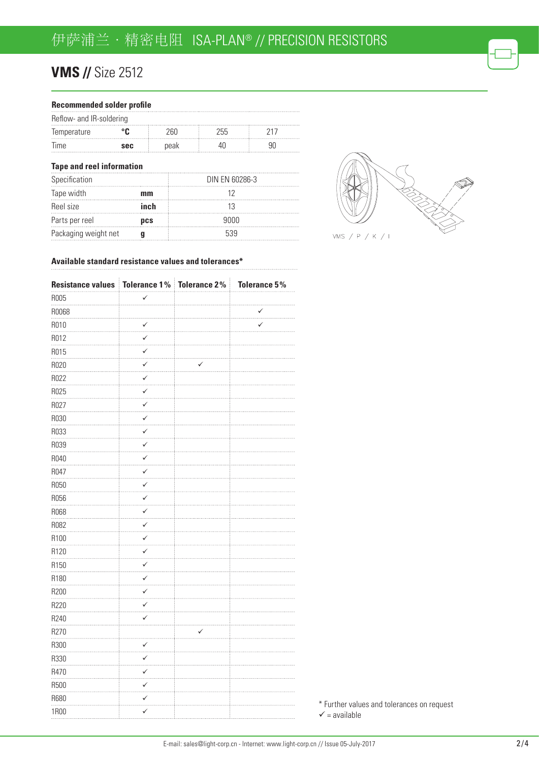# **VMS // Size 2512**

| Recommended solder profile       |      |      |                |     |  |
|----------------------------------|------|------|----------------|-----|--|
| Reflow- and IR-soldering         |      |      |                |     |  |
| Temperature                      | °C   | 260  | 255            | 217 |  |
| Time                             | sec  | peak | 40             | 90  |  |
| <b>Tape and reel information</b> |      |      |                |     |  |
| Specification                    |      |      | DIN EN 60286-3 |     |  |
| Tape width                       | mm   |      | 12             |     |  |
| Reel size                        | inch |      | 13             |     |  |
| Parts per reel                   | pcs  |      | 9000           |     |  |
| Packaging weight net<br>q        |      |      | 539            |     |  |
|                                  |      |      |                |     |  |



#### **Available standard resistance values and tolerances\***

| Resistance values   Tolerance 1%   Tolerance 2% |                          |   | <b>Tolerance 5%</b> |
|-------------------------------------------------|--------------------------|---|---------------------|
| R005                                            | ✓                        |   |                     |
| R0068                                           |                          |   | ✓                   |
| R010                                            | ✓                        |   | .                   |
| R012                                            | .<br>✓                   |   |                     |
| R015                                            | $\cdots$<br>$\checkmark$ |   |                     |
| R020                                            | ✓                        | ✓ |                     |
| R022                                            | ✓                        |   |                     |
| R025                                            | ✓<br>.                   |   |                     |
| R027                                            | ✓                        |   |                     |
| R030                                            | ✓                        |   |                     |
| R033                                            | ✓                        |   |                     |
| R039                                            | ✓<br>.                   |   |                     |
| R040                                            | ✓                        |   |                     |
| R047                                            | ✓                        |   |                     |
| R050                                            | $\checkmark$             |   |                     |
| R056                                            | ✓<br>i.                  |   |                     |
| R068                                            | $\checkmark$<br>$\cdots$ |   |                     |
| R082                                            | $\checkmark$             |   |                     |
| R100                                            | ✓                        |   |                     |
| R120                                            | ✓<br>.                   |   |                     |
| R <sub>150</sub>                                | $\checkmark$             |   |                     |
| R180                                            | $\checkmark$             |   |                     |
| R200                                            | ✓                        |   |                     |
| R220                                            | ✓<br>.                   |   |                     |
| R240                                            | ✓                        |   |                     |
| R270                                            |                          | ✓ |                     |
| R300                                            | $\checkmark$<br>.        |   |                     |
| R330                                            | ✓<br>.                   |   |                     |
| R470                                            | ✓<br>المعا               |   |                     |
| R500                                            | ✓                        |   |                     |
| R680                                            | ✓                        |   |                     |
| <b>1R00</b>                                     | ✓                        |   |                     |

\* Further values and tolerances on request  $\checkmark$  = available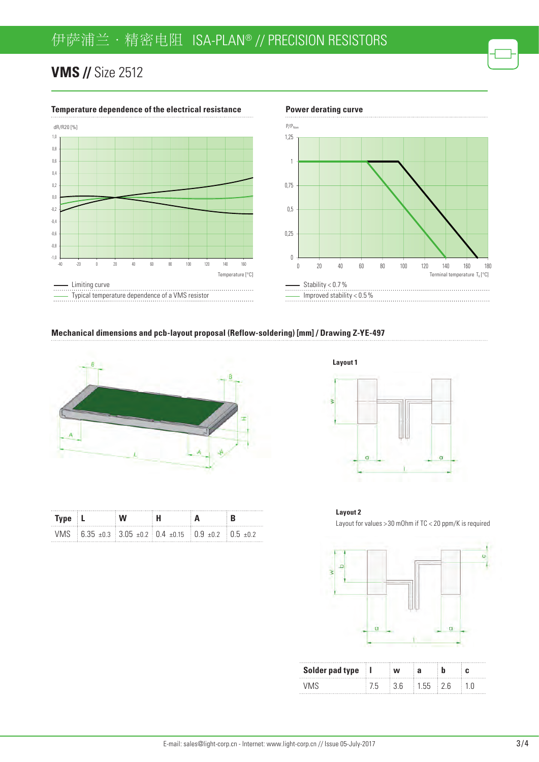# **VMS // Size 2512**



#### **Temperature dependence of the electrical resistance Power derating curve**



#### **Mechanical dimensions and pcb-layout proposal (Reflow-soldering) [mm] / Drawing Z-YE-497**



| Type L |  |                                                                                                            |  |
|--------|--|------------------------------------------------------------------------------------------------------------|--|
|        |  | VMS $\pm$ 6.35 $\pm$ 0.3 $\pm$ 3.05 $\pm$ 0.2 $\pm$ 0.4 $\pm$ 0.15 $\pm$ 0.9 $\pm$ 0.2 $\pm$ 0.5 $\pm$ 0.2 |  |

**Layout 1**ś



**Layout 2** Layout for values > 30 mOhm if TC < 20 ppm/K is required



| Solder pad type |  |  |  |
|-----------------|--|--|--|
|                 |  |  |  |